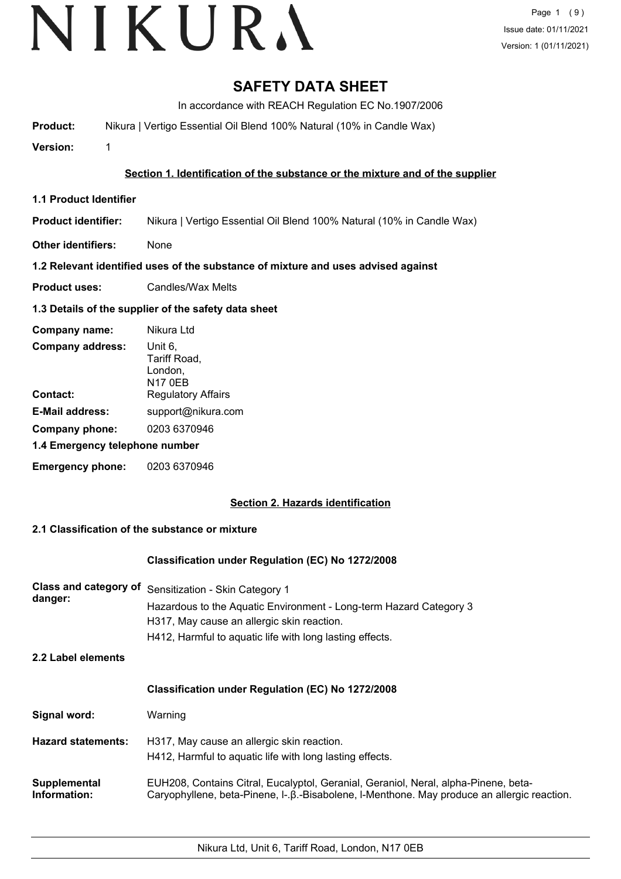# **SAFETY DATA SHEET**

In accordance with REACH Regulation EC No.1907/2006

**Product:** Nikura | Vertigo Essential Oil Blend 100% Natural (10% in Candle Wax)

**Version:** 1

## **Section 1. Identification of the substance or the mixture and of the supplier**

- **1.1 Product Identifier**
- **Product identifier:** Nikura | Vertigo Essential Oil Blend 100% Natural (10% in Candle Wax)
- **Other identifiers:** None

## **1.2 Relevant identified uses of the substance of mixture and uses advised against**

**Product uses:** Candles/Wax Melts

# **1.3 Details of the supplier of the safety data sheet**

| Company name:                  | Nikura Ltd                                           |
|--------------------------------|------------------------------------------------------|
| <b>Company address:</b>        | Unit 6,<br>Tariff Road,<br>London,<br><b>N17 0EB</b> |
| Contact:                       | <b>Regulatory Affairs</b>                            |
| <b>E-Mail address:</b>         | support@nikura.com                                   |
| Company phone:                 | 0203 6370946                                         |
| 1.4 Emergency telephone number |                                                      |
| <b>Emergency phone:</b>        | 0203 6370946                                         |

# **Section 2. Hazards identification**

# **2.1 Classification of the substance or mixture**

### **Classification under Regulation (EC) No 1272/2008**

| <b>Class and category of</b><br>danger: | Sensitization - Skin Category 1<br>Hazardous to the Aquatic Environment - Long-term Hazard Category 3<br>H317, May cause an allergic skin reaction.<br>H412, Harmful to aquatic life with long lasting effects. |
|-----------------------------------------|-----------------------------------------------------------------------------------------------------------------------------------------------------------------------------------------------------------------|
| 2.2 Label elements                      |                                                                                                                                                                                                                 |
|                                         | <b>Classification under Regulation (EC) No 1272/2008</b>                                                                                                                                                        |
| Signal word:                            | Warning                                                                                                                                                                                                         |
| <b>Hazard statements:</b>               | H317, May cause an allergic skin reaction.<br>H412, Harmful to aquatic life with long lasting effects.                                                                                                          |
| Supplemental<br>Information:            | EUH208, Contains Citral, Eucalyptol, Geranial, Geraniol, Neral, alpha-Pinene, beta-<br>Caryophyllene, beta-Pinene, I-.β.-Bisabolene, I-Menthone. May produce an allergic reaction.                              |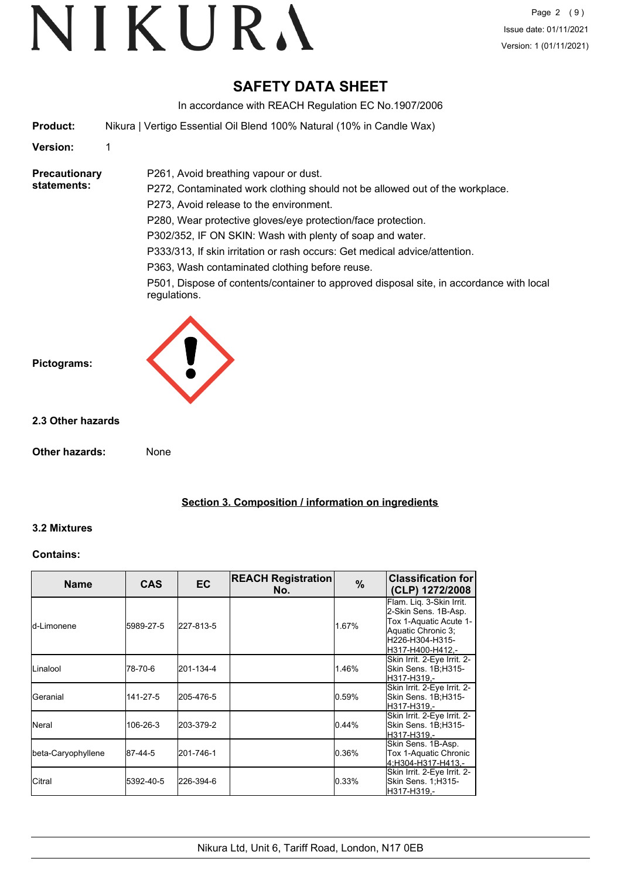# **SAFETY DATA SHEET**

In accordance with REACH Regulation EC No.1907/2006

**Product:** Nikura | Vertigo Essential Oil Blend 100% Natural (10% in Candle Wax)

P261, Avoid breathing vapour or dust.

### **Version:** 1

#### **Precautionary statements:**

P272, Contaminated work clothing should not be allowed out of the workplace. P273, Avoid release to the environment. P280, Wear protective gloves/eye protection/face protection. P302/352, IF ON SKIN: Wash with plenty of soap and water. P333/313, If skin irritation or rash occurs: Get medical advice/attention. P363, Wash contaminated clothing before reuse.

P501, Dispose of contents/container to approved disposal site, in accordance with local regulations.



### **2.3 Other hazards**

**Other hazards:** None

**Section 3. Composition / information on ingredients**

### **3.2 Mixtures**

### **Contains:**

| <b>Name</b>        | <b>CAS</b> | EC        | <b>REACH Registration</b><br>No. | $\%$     | <b>Classification for</b><br>(CLP) 1272/2008                                                                                            |
|--------------------|------------|-----------|----------------------------------|----------|-----------------------------------------------------------------------------------------------------------------------------------------|
| Id-Limonene        | 5989-27-5  | 227-813-5 |                                  | 1.67%    | Flam. Lig. 3-Skin Irrit.<br>2-Skin Sens. 1B-Asp.<br>Tox 1-Aquatic Acute 1-<br>Aquatic Chronic 3:<br>H226-H304-H315-<br>H317-H400-H412,- |
| ILinalool          | 78-70-6    | 201-134-4 |                                  | 1.46%    | Skin Irrit. 2-Eye Irrit. 2-<br>Skin Sens. 1B:H315-<br>H317-H319.-                                                                       |
| lGeranial          | 141-27-5   | 205-476-5 |                                  | $0.59\%$ | Skin Irrit. 2-Eye Irrit. 2-<br>Skin Sens. 1B;H315-<br>H317-H319.-                                                                       |
| <b>Neral</b>       | 106-26-3   | 203-379-2 |                                  | 0.44%    | Skin Irrit. 2-Eye Irrit. 2-<br>Skin Sens. 1B;H315-<br>H317-H319,-                                                                       |
| beta-Caryophyllene | 87-44-5    | 201-746-1 |                                  | 0.36%    | Skin Sens. 1B-Asp.<br>Tox 1-Aquatic Chronic<br>4;H304-H317-H413,-                                                                       |
| ICitral            | 5392-40-5  | 226-394-6 |                                  | 0.33%    | Skin Irrit. 2-Eye Irrit. 2-<br>Skin Sens. 1; H315-<br>H317-H319,-                                                                       |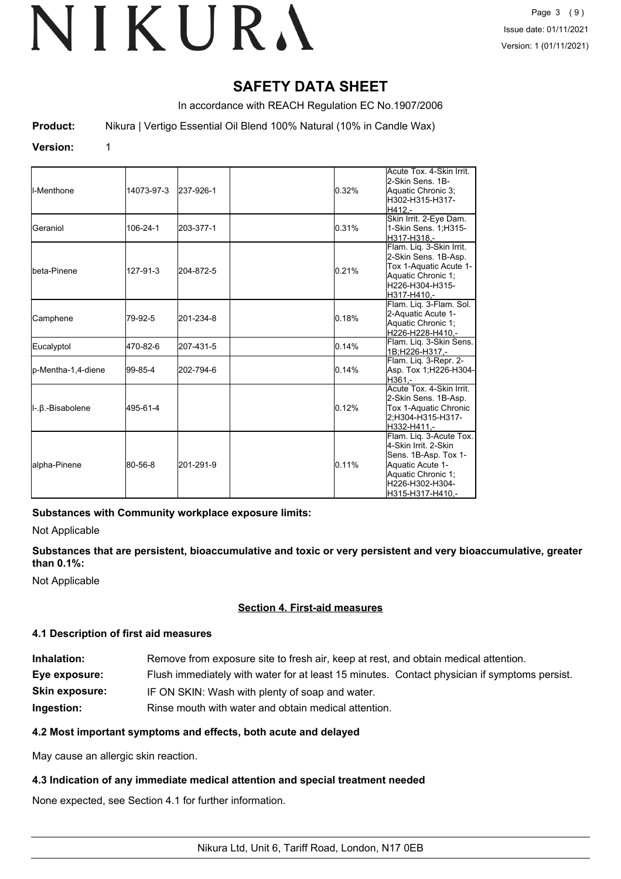# **SAFETY DATA SHEET**

In accordance with REACH Regulation EC No.1907/2006

**Product:** Nikura | Vertigo Essential Oil Blend 100% Natural (10% in Candle Wax)

#### **Version:** 1

| ll-Menthone          | 14073-97-3 | 237-926-1 | 0.32% | Acute Tox. 4-Skin Irrit.<br>2-Skin Sens, 1B-<br>Aquatic Chronic 3:<br>H302-H315-H317-<br>H412.-                                                          |
|----------------------|------------|-----------|-------|----------------------------------------------------------------------------------------------------------------------------------------------------------|
| Geraniol             | 106-24-1   | 203-377-1 | 0.31% | Skin Irrit. 2-Eye Dam.<br>1-Skin Sens. 1; H315-<br>H317-H318.-                                                                                           |
| <b>I</b> beta-Pinene | 127-91-3   | 204-872-5 | 0.21% | Flam. Lig. 3-Skin Irrit.<br>2-Skin Sens. 1B-Asp.<br>Tox 1-Aquatic Acute 1-<br>Aquatic Chronic 1:<br>H226-H304-H315-<br>H317-H410.-                       |
| Camphene             | 79-92-5    | 201-234-8 | 0.18% | Flam. Lig. 3-Flam. Sol.<br>2-Aquatic Acute 1-<br>Aquatic Chronic 1:<br>H226-H228-H410.-                                                                  |
| Eucalyptol           | 470-82-6   | 207-431-5 | 0.14% | Flam. Liq. 3-Skin Sens.<br>1B:H226-H317.-                                                                                                                |
| p-Mentha-1,4-diene   | 99-85-4    | 202-794-6 | 0.14% | Flam. Lig. 3-Repr. 2-<br>Asp. Tox 1; H226-H304-<br>H361.-                                                                                                |
| II-.β.-Bisabolene    | 495-61-4   |           | 0.12% | Acute Tox. 4-Skin Irrit.<br>2-Skin Sens. 1B-Asp.<br>Tox 1-Aquatic Chronic<br>2:H304-H315-H317-<br>H332-H411.-                                            |
| alpha-Pinene         | 80-56-8    | 201-291-9 | 0.11% | Flam. Lig. 3-Acute Tox.<br>4-Skin Irrit, 2-Skin<br>Sens. 1B-Asp. Tox 1-<br>Aquatic Acute 1-<br>Aquatic Chronic 1;<br>H226-H302-H304-<br>H315-H317-H410,- |

### **Substances with Community workplace exposure limits:**

Not Applicable

## **Substances that are persistent, bioaccumulative and toxic or very persistent and very bioaccumulative, greater than 0.1%:**

Not Applicable

# **Section 4. First-aid measures**

### **4.1 Description of first aid measures**

| Inhalation:           | Remove from exposure site to fresh air, keep at rest, and obtain medical attention.          |
|-----------------------|----------------------------------------------------------------------------------------------|
| Eye exposure:         | Flush immediately with water for at least 15 minutes. Contact physician if symptoms persist. |
| <b>Skin exposure:</b> | IF ON SKIN: Wash with plenty of soap and water.                                              |
| Ingestion:            | Rinse mouth with water and obtain medical attention.                                         |

### **4.2 Most important symptoms and effects, both acute and delayed**

May cause an allergic skin reaction.

### **4.3 Indication of any immediate medical attention and special treatment needed**

None expected, see Section 4.1 for further information.

Nikura Ltd, Unit 6, Tariff Road, London, N17 0EB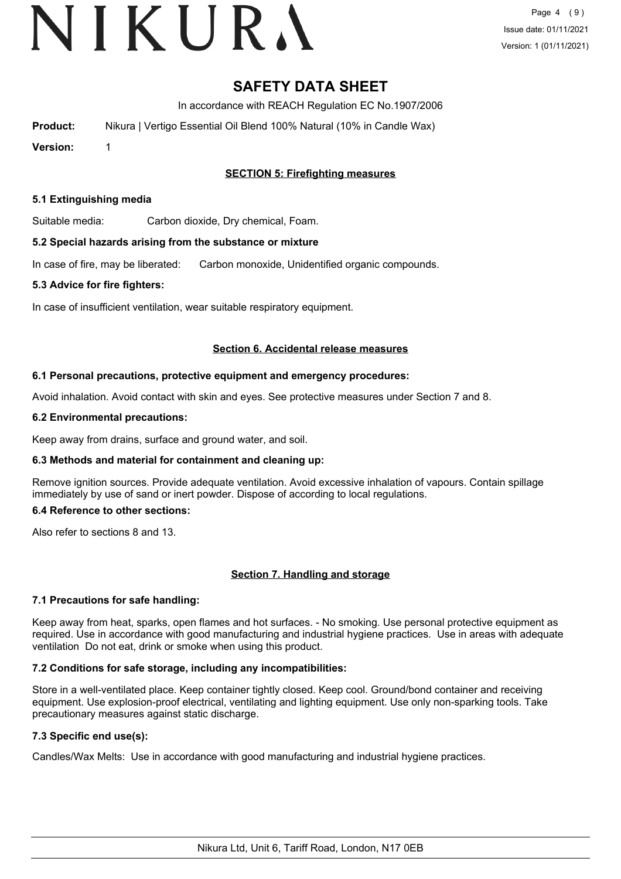# VIKURA

# **SAFETY DATA SHEET**

In accordance with REACH Regulation EC No.1907/2006

**Product:** Nikura | Vertigo Essential Oil Blend 100% Natural (10% in Candle Wax)

**Version:** 1

# **SECTION 5: Firefighting measures**

#### **5.1 Extinguishing media**

Suitable media: Carbon dioxide, Dry chemical, Foam.

#### **5.2 Special hazards arising from the substance or mixture**

In case of fire, may be liberated: Carbon monoxide, Unidentified organic compounds.

#### **5.3 Advice for fire fighters:**

In case of insufficient ventilation, wear suitable respiratory equipment.

#### **Section 6. Accidental release measures**

#### **6.1 Personal precautions, protective equipment and emergency procedures:**

Avoid inhalation. Avoid contact with skin and eyes. See protective measures under Section 7 and 8.

#### **6.2 Environmental precautions:**

Keep away from drains, surface and ground water, and soil.

### **6.3 Methods and material for containment and cleaning up:**

Remove ignition sources. Provide adequate ventilation. Avoid excessive inhalation of vapours. Contain spillage immediately by use of sand or inert powder. Dispose of according to local regulations.

#### **6.4 Reference to other sections:**

Also refer to sections 8 and 13.

### **Section 7. Handling and storage**

### **7.1 Precautions for safe handling:**

Keep away from heat, sparks, open flames and hot surfaces. - No smoking. Use personal protective equipment as required. Use in accordance with good manufacturing and industrial hygiene practices. Use in areas with adequate ventilation Do not eat, drink or smoke when using this product.

### **7.2 Conditions for safe storage, including any incompatibilities:**

Store in a well-ventilated place. Keep container tightly closed. Keep cool. Ground/bond container and receiving equipment. Use explosion-proof electrical, ventilating and lighting equipment. Use only non-sparking tools. Take precautionary measures against static discharge.

# **7.3 Specific end use(s):**

Candles/Wax Melts: Use in accordance with good manufacturing and industrial hygiene practices.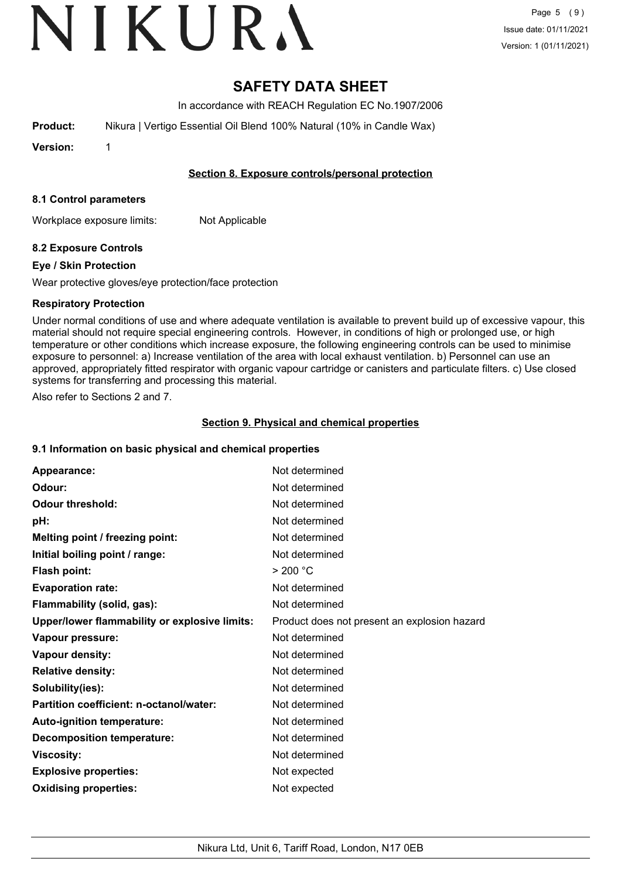# VIKURA

# **SAFETY DATA SHEET**

In accordance with REACH Regulation EC No.1907/2006

**Product:** Nikura | Vertigo Essential Oil Blend 100% Natural (10% in Candle Wax)

**Version:** 1

## **Section 8. Exposure controls/personal protection**

### **8.1 Control parameters**

Workplace exposure limits: Not Applicable

# **8.2 Exposure Controls**

## **Eye / Skin Protection**

Wear protective gloves/eye protection/face protection

## **Respiratory Protection**

Under normal conditions of use and where adequate ventilation is available to prevent build up of excessive vapour, this material should not require special engineering controls. However, in conditions of high or prolonged use, or high temperature or other conditions which increase exposure, the following engineering controls can be used to minimise exposure to personnel: a) Increase ventilation of the area with local exhaust ventilation. b) Personnel can use an approved, appropriately fitted respirator with organic vapour cartridge or canisters and particulate filters. c) Use closed systems for transferring and processing this material.

Also refer to Sections 2 and 7.

## **Section 9. Physical and chemical properties**

### **9.1 Information on basic physical and chemical properties**

| Appearance:                                   | Not determined                               |
|-----------------------------------------------|----------------------------------------------|
| Odour:                                        | Not determined                               |
| <b>Odour threshold:</b>                       | Not determined                               |
| pH:                                           | Not determined                               |
| Melting point / freezing point:               | Not determined                               |
| Initial boiling point / range:                | Not determined                               |
| <b>Flash point:</b>                           | > 200 °C                                     |
| <b>Evaporation rate:</b>                      | Not determined                               |
| Flammability (solid, gas):                    | Not determined                               |
| Upper/lower flammability or explosive limits: | Product does not present an explosion hazard |
| Vapour pressure:                              | Not determined                               |
| Vapour density:                               | Not determined                               |
| <b>Relative density:</b>                      | Not determined                               |
| Solubility(ies):                              | Not determined                               |
| Partition coefficient: n-octanol/water:       | Not determined                               |
| Auto-ignition temperature:                    | Not determined                               |
| <b>Decomposition temperature:</b>             | Not determined                               |
| <b>Viscosity:</b>                             | Not determined                               |
| <b>Explosive properties:</b>                  | Not expected                                 |
| <b>Oxidising properties:</b>                  | Not expected                                 |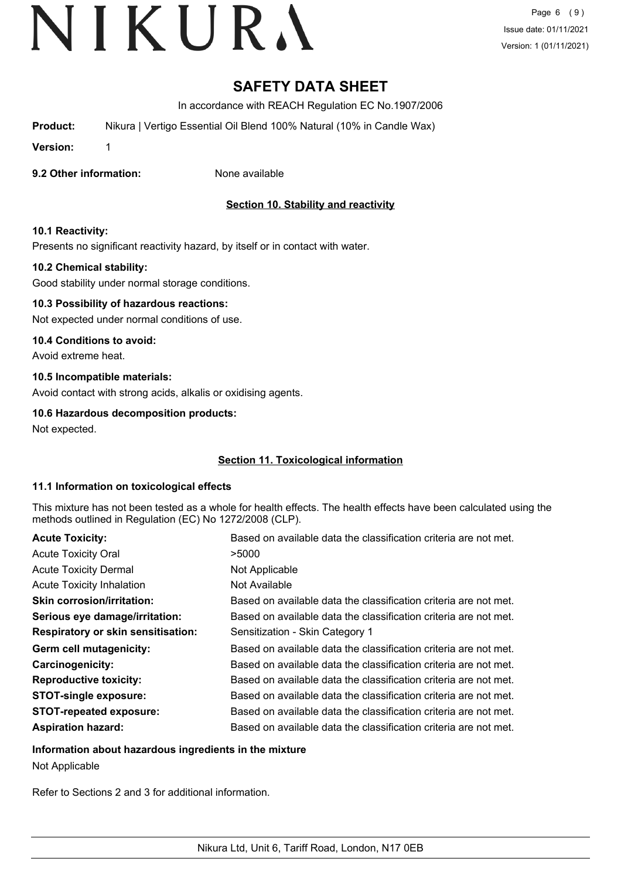# **SAFETY DATA SHEET**

In accordance with REACH Regulation EC No.1907/2006

**Product:** Nikura | Vertigo Essential Oil Blend 100% Natural (10% in Candle Wax)

**Version:** 1

**9.2 Other information:** None available

# **Section 10. Stability and reactivity**

## **10.1 Reactivity:**

Presents no significant reactivity hazard, by itself or in contact with water.

## **10.2 Chemical stability:**

Good stability under normal storage conditions.

# **10.3 Possibility of hazardous reactions:**

Not expected under normal conditions of use.

### **10.4 Conditions to avoid:**

Avoid extreme heat.

## **10.5 Incompatible materials:**

Avoid contact with strong acids, alkalis or oxidising agents.

## **10.6 Hazardous decomposition products:**

Not expected.

# **Section 11. Toxicological information**

### **11.1 Information on toxicological effects**

This mixture has not been tested as a whole for health effects. The health effects have been calculated using the methods outlined in Regulation (EC) No 1272/2008 (CLP).

| <b>Acute Toxicity:</b>                    | Based on available data the classification criteria are not met. |
|-------------------------------------------|------------------------------------------------------------------|
| <b>Acute Toxicity Oral</b>                | >5000                                                            |
| <b>Acute Toxicity Dermal</b>              | Not Applicable                                                   |
| <b>Acute Toxicity Inhalation</b>          | Not Available                                                    |
| <b>Skin corrosion/irritation:</b>         | Based on available data the classification criteria are not met. |
| Serious eye damage/irritation:            | Based on available data the classification criteria are not met. |
| <b>Respiratory or skin sensitisation:</b> | Sensitization - Skin Category 1                                  |
| Germ cell mutagenicity:                   | Based on available data the classification criteria are not met. |
| <b>Carcinogenicity:</b>                   | Based on available data the classification criteria are not met. |
| <b>Reproductive toxicity:</b>             | Based on available data the classification criteria are not met. |
| <b>STOT-single exposure:</b>              | Based on available data the classification criteria are not met. |
| <b>STOT-repeated exposure:</b>            | Based on available data the classification criteria are not met. |
| <b>Aspiration hazard:</b>                 | Based on available data the classification criteria are not met. |

### **Information about hazardous ingredients in the mixture**

Not Applicable

Refer to Sections 2 and 3 for additional information.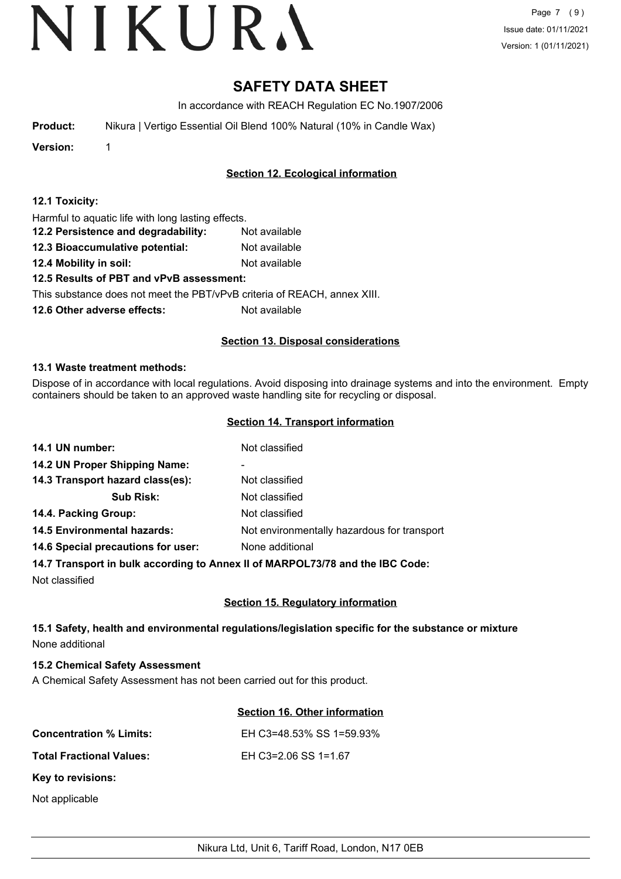# **SAFETY DATA SHEET**

In accordance with REACH Regulation EC No.1907/2006

| <b>Product:</b> |  | Nikura   Vertigo Essential Oil Blend 100% Natural (10% in Candle Wax) |  |  |  |  |  |
|-----------------|--|-----------------------------------------------------------------------|--|--|--|--|--|
|-----------------|--|-----------------------------------------------------------------------|--|--|--|--|--|

**Version:** 1

# **Section 12. Ecological information**

### **12.1 Toxicity:**

Harmful to aquatic life with long lasting effects.

- **12.2 Persistence and degradability:** Not available
- **12.3 Bioaccumulative potential:** Not available
- **12.4 Mobility in soil:** Not available

# **12.5 Results of PBT and vPvB assessment:**

This substance does not meet the PBT/vPvB criteria of REACH, annex XIII.

**12.6 Other adverse effects:** Not available

## **Section 13. Disposal considerations**

### **13.1 Waste treatment methods:**

Dispose of in accordance with local regulations. Avoid disposing into drainage systems and into the environment. Empty containers should be taken to an approved waste handling site for recycling or disposal.

### **Section 14. Transport information**

| 14.1 UN number:                    | Not classified                              |
|------------------------------------|---------------------------------------------|
| 14.2 UN Proper Shipping Name:      | ۰                                           |
| 14.3 Transport hazard class(es):   | Not classified                              |
| <b>Sub Risk:</b>                   | Not classified                              |
| 14.4. Packing Group:               | Not classified                              |
| <b>14.5 Environmental hazards:</b> | Not environmentally hazardous for transport |
| 14.6 Special precautions for user: | None additional                             |
|                                    |                                             |

### **14.7 Transport in bulk according to Annex II of MARPOL73/78 and the IBC Code:**

Not classified

# **Section 15. Regulatory information**

# **15.1 Safety, health and environmental regulations/legislation specific for the substance or mixture** None additional

# **15.2 Chemical Safety Assessment**

A Chemical Safety Assessment has not been carried out for this product.

# **Section 16. Other information**

| <b>Concentration % Limits:</b>  | EH C3=48.53% SS 1=59.93% |
|---------------------------------|--------------------------|
| <b>Total Fractional Values:</b> | EH C3=2.06 SS 1=1.67     |
| <b>Key to revisions:</b>        |                          |

Not applicable

Nikura Ltd, Unit 6, Tariff Road, London, N17 0EB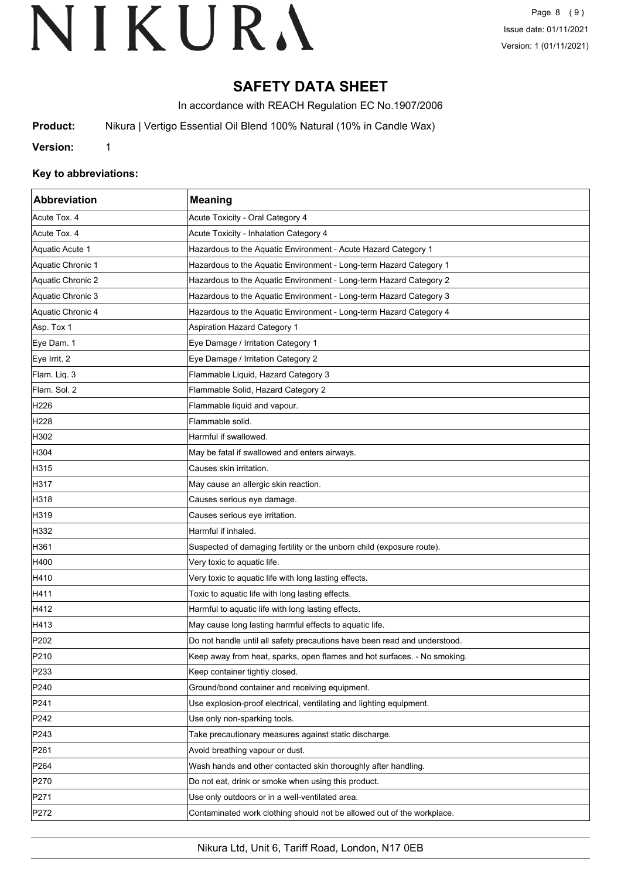# **SAFETY DATA SHEET**

In accordance with REACH Regulation EC No.1907/2006

**Product:** Nikura | Vertigo Essential Oil Blend 100% Natural (10% in Candle Wax)

**Version:** 1

## **Key to abbreviations:**

| Abbreviation      | <b>Meaning</b>                                                            |
|-------------------|---------------------------------------------------------------------------|
| Acute Tox. 4      | Acute Toxicity - Oral Category 4                                          |
| Acute Tox. 4      | Acute Toxicity - Inhalation Category 4                                    |
| Aquatic Acute 1   | Hazardous to the Aquatic Environment - Acute Hazard Category 1            |
| Aquatic Chronic 1 | Hazardous to the Aquatic Environment - Long-term Hazard Category 1        |
| Aquatic Chronic 2 | Hazardous to the Aquatic Environment - Long-term Hazard Category 2        |
| Aquatic Chronic 3 | Hazardous to the Aquatic Environment - Long-term Hazard Category 3        |
| Aquatic Chronic 4 | Hazardous to the Aquatic Environment - Long-term Hazard Category 4        |
| Asp. Tox 1        | <b>Aspiration Hazard Category 1</b>                                       |
| Eye Dam. 1        | Eye Damage / Irritation Category 1                                        |
| Eye Irrit. 2      | Eye Damage / Irritation Category 2                                        |
| Flam. Liq. 3      | Flammable Liquid, Hazard Category 3                                       |
| Flam. Sol. 2      | Flammable Solid, Hazard Category 2                                        |
| H226              | Flammable liquid and vapour.                                              |
| H <sub>228</sub>  | Flammable solid.                                                          |
| H302              | Harmful if swallowed.                                                     |
| H304              | May be fatal if swallowed and enters airways.                             |
| H315              | Causes skin irritation.                                                   |
| H317              | May cause an allergic skin reaction.                                      |
| H318              | Causes serious eye damage.                                                |
| H319              | Causes serious eye irritation.                                            |
| H332              | Harmful if inhaled.                                                       |
| H361              | Suspected of damaging fertility or the unborn child (exposure route).     |
| H400              | Very toxic to aquatic life.                                               |
| H410              | Very toxic to aquatic life with long lasting effects.                     |
| H411              | Toxic to aquatic life with long lasting effects.                          |
| H412              | Harmful to aquatic life with long lasting effects.                        |
| H413              | May cause long lasting harmful effects to aquatic life.                   |
| P <sub>202</sub>  | Do not handle until all safety precautions have been read and understood. |
| P210              | Keep away from heat, sparks, open flames and hot surfaces. - No smoking   |
| P233              | Keep container tightly closed.                                            |
| P240              | Ground/bond container and receiving equipment.                            |
| P241              | Use explosion-proof electrical, ventilating and lighting equipment.       |
| P242              | Use only non-sparking tools.                                              |
| P243              | Take precautionary measures against static discharge.                     |
| P261              | Avoid breathing vapour or dust.                                           |
| P <sub>264</sub>  | Wash hands and other contacted skin thoroughly after handling.            |
| P270              | Do not eat, drink or smoke when using this product.                       |
| P271              | Use only outdoors or in a well-ventilated area.                           |
| P272              | Contaminated work clothing should not be allowed out of the workplace.    |